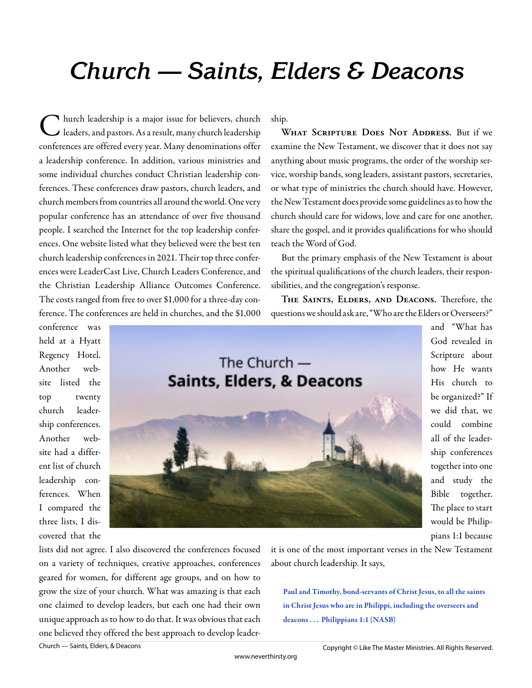## **Church — Saints, Elders & Deacons**

C hurch leadership is a major issue for believers, church  $\blacktriangleright$  leaders, and pastors. As a result, many church leadership conferences are offered every year. Many denominations offer a leadership conference. In addition, various ministries and some individual churches conduct Christian leadership conferences. These conferences draw pastors, church leaders, and church members from countries all around the world. One very popular conference has an attendance of over five thousand people. I searched the Internet for the top leadership conferences. One website listed what they believed were the best ten church leadership conferences in 2021. Their top three conferences were LeaderCast Live, Church Leaders Conference, and the Christian Leadership Alliance Outcomes Conference. The costs ranged from free to over \$1,000 for a three-day conference. The conferences are held in churches, and the \$1,000

conference was held at a Hyatt Regency Hotel. Another website listed the top twenty church leadership conferences. Another website had a different list of church leadership conferences. When I compared the three lists, I discovered that the



ship.

WHAT SCRIPTURE DOES NOT ADDRESS. But if we examine the New Testament, we discover that it does not say anything about music programs, the order of the worship service, worship bands, song leaders, assistant pastors, secretaries, or what type of ministries the church should have. However, the New Testament does provide some guidelines as to how the church should care for widows, love and care for one another, share the gospel, and it provides qualifications for who should teach the Word of God.

But the primary emphasis of the New Testament is about the spiritual qualifications of the church leaders, their responsibilities, and the congregation's response.

THE SAINTS, ELDERS, AND DEACONS. Therefore, the questions we should ask are, "Who are the Elders or Overseers?"

> and "What has God revealed in Scripture about how He wants His church to be organized?" If we did that, we could combine all of the leadership conferences together into one and study the Bible together. The place to start would be Philippians 1:1 because

lists did not agree. I also discovered the conferences focused on a variety of techniques, creative approaches, conferences geared for women, for different age groups, and on how to grow the size of your church. What was amazing is that each one claimed to develop leaders, but each one had their own unique approach as to how to do that. It was obvious that each one believed they offered the best approach to develop leaderit is one of the most important verses in the New Testament about church leadership. It says,

Paul and Timothy, bond-servants of Christ Jesus, to all the saints in Christ Jesus who are in Philippi, including the overseers and deacons ... Philippians 1:1 (NASB)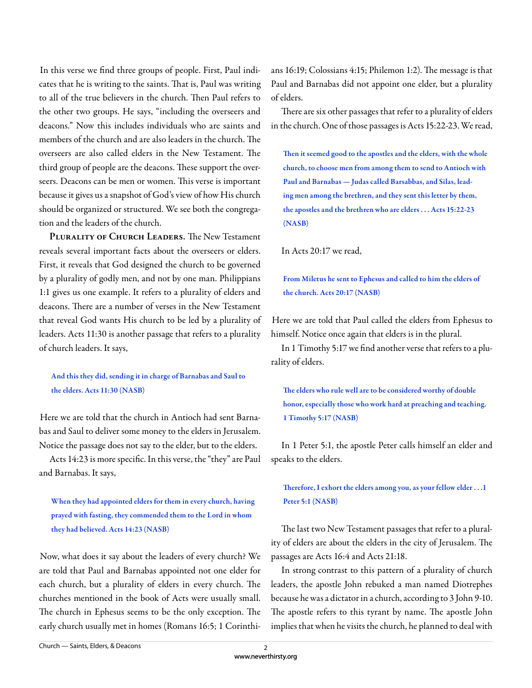In this verse we find three groups of people. First, Paul indicates that he is writing to the saints. That is, Paul was writing to all of the true believers in the church. Then Paul refers to the other two groups. He says, "including the overseers and deacons." Now this includes individuals who are saints and members of the church and are also leaders in the church. The overseers are also called elders in the New Testament. The third group of people are the deacons. These support the overseers. Deacons can be men or women. This verse is important because it gives us a snapshot of God's view of how His church should be organized or structured. We see both the congregation and the leaders of the church.

PLURALITY OF CHURCH LEADERS. The New Testament reveals several important facts about the overseers or elders. First, it reveals that God designed the church to be governed by a plurality of godly men, and not by one man. Philippians 1:1 gives us one example. It refers to a plurality of elders and deacons. There are a number of verses in the New Testament that reveal God wants His church to be led by a plurality of leaders. Acts 11:30 is another passage that refers to a plurality of church leaders. It says,

## And this they did, sending it in charge of Barnabas and Saul to the elders. Acts 11:30 (NASB)

Here we are told that the church in Antioch had sent Barnabas and Saul to deliver some money to the elders in Jerusalem. Notice the passage does not say to the elder, but to the elders.

Acts 14:23 is more specific. In this verse, the "they" are Paul and Barnabas. It says,

When they had appointed elders for them in every church, having prayed with fasting, they commended them to the Lord in whom they had believed. Acts 14:23 (NASB)

Now, what does it say about the leaders of every church? We are told that Paul and Barnabas appointed not one elder for each church, but a plurality of elders in every church. The churches mentioned in the book of Acts were usually small. The church in Ephesus seems to be the only exception. The early church usually met in homes (Romans 16:5; 1 Corinthians 16:19; Colossians 4:15; Philemon 1:2). The message is that Paul and Barnabas did not appoint one elder, but a plurality of elders.

There are six other passages that refer to a plurality of elders in the church. One of those passages is Acts 15:22-23. We read,

Then it seemed good to the apostles and the elders, with the whole church, to choose men from among them to send to Antioch with Paul and Barnabas — Judas called Barsabbas, and Silas, leading men among the brethren, and they sent this letter by them, the apostles and the brethren who are elders . . . Acts 15:22-23 (NASB)

In Acts 20:17 we read,

From Miletus he sent to Ephesus and called to him the elders of the church. Acts 20:17 (NASB)

Here we are told that Paul called the elders from Ephesus to himself. Notice once again that elders is in the plural.

In 1 Timothy 5:17 we find another verse that refers to a plurality of elders.

The elders who rule well are to be considered worthy of double honor, especially those who work hard at preaching and teaching. 1 Timothy 5:17 (NASB)

In 1 Peter 5:1, the apostle Peter calls himself an elder and speaks to the elders.

Therefore, I exhort the elders among you, as your fellow elder . . . 1 Peter 5:1 (NASB)

The last two New Testament passages that refer to a plurality of elders are about the elders in the city of Jerusalem. The passages are Acts 16:4 and Acts 21:18.

In strong contrast to this pattern of a plurality of church leaders, the apostle John rebuked a man named Diotrephes because he was a dictator in a church, according to 3 John 9-10. The apostle refers to this tyrant by name. The apostle John implies that when he visits the church, he planned to deal with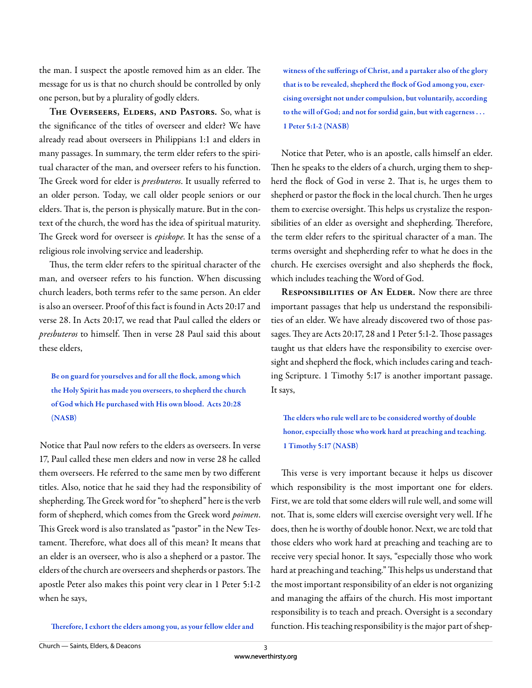the man. I suspect the apostle removed him as an elder. The message for us is that no church should be controlled by only one person, but by a plurality of godly elders.

**The Overseers, Elders, and Pastors.** So, what is the significance of the titles of overseer and elder? We have already read about overseers in Philippians 1:1 and elders in many passages. In summary, the term elder refers to the spiritual character of the man, and overseer refers to his function. The Greek word for elder is *presbuteros*. It usually referred to an older person. Today, we call older people seniors or our elders. That is, the person is physically mature. But in the context of the church, the word has the idea of spiritual maturity. The Greek word for overseer is *episkope*. It has the sense of a religious role involving service and leadership.

Thus, the term elder refers to the spiritual character of the man, and overseer refers to his function. When discussing church leaders, both terms refer to the same person. An elder is also an overseer. Proof of this fact is found in Acts 20:17 and verse 28. In Acts 20:17, we read that Paul called the elders or *presbuteros* to himself. Then in verse 28 Paul said this about these elders,

Be on guard for yourselves and for all the flock, among which the Holy Spirit has made you overseers, to shepherd the church of God which He purchased with His own blood. Acts 20:28 (NASB)

Notice that Paul now refers to the elders as overseers. In verse 17, Paul called these men elders and now in verse 28 he called them overseers. He referred to the same men by two different titles. Also, notice that he said they had the responsibility of shepherding. The Greek word for "to shepherd" here is the verb form of shepherd, which comes from the Greek word *poimen*. This Greek word is also translated as "pastor" in the New Testament. Therefore, what does all of this mean? It means that an elder is an overseer, who is also a shepherd or a pastor. The elders of the church are overseers and shepherds or pastors. The apostle Peter also makes this point very clear in 1 Peter 5:1-2 when he says,

Therefore, I exhort the elders among you, as your fellow elder and

witness of the sufferings of Christ, and a partaker also of the glory that is to be revealed, shepherd the flock of God among you, exercising oversight not under compulsion, but voluntarily, according to the will of God; and not for sordid gain, but with eagerness . . . 1 Peter 5:1-2 (NASB)

Notice that Peter, who is an apostle, calls himself an elder. Then he speaks to the elders of a church, urging them to shepherd the flock of God in verse 2. That is, he urges them to shepherd or pastor the flock in the local church. Then he urges them to exercise oversight. This helps us crystalize the responsibilities of an elder as oversight and shepherding. Therefore, the term elder refers to the spiritual character of a man. The terms oversight and shepherding refer to what he does in the church. He exercises oversight and also shepherds the flock, which includes teaching the Word of God.

**Responsibilities of An Elder.** Now there are three important passages that help us understand the responsibilities of an elder. We have already discovered two of those passages. They are Acts 20:17, 28 and 1 Peter 5:1-2. Those passages taught us that elders have the responsibility to exercise oversight and shepherd the flock, which includes caring and teaching Scripture. 1 Timothy 5:17 is another important passage. It says,

The elders who rule well are to be considered worthy of double honor, especially those who work hard at preaching and teaching. 1 Timothy 5:17 (NASB)

This verse is very important because it helps us discover which responsibility is the most important one for elders. First, we are told that some elders will rule well, and some will not. That is, some elders will exercise oversight very well. If he does, then he is worthy of double honor. Next, we are told that those elders who work hard at preaching and teaching are to receive very special honor. It says, "especially those who work hard at preaching and teaching." This helps us understand that the most important responsibility of an elder is not organizing and managing the affairs of the church. His most important responsibility is to teach and preach. Oversight is a secondary function. His teaching responsibility is the major part of shep-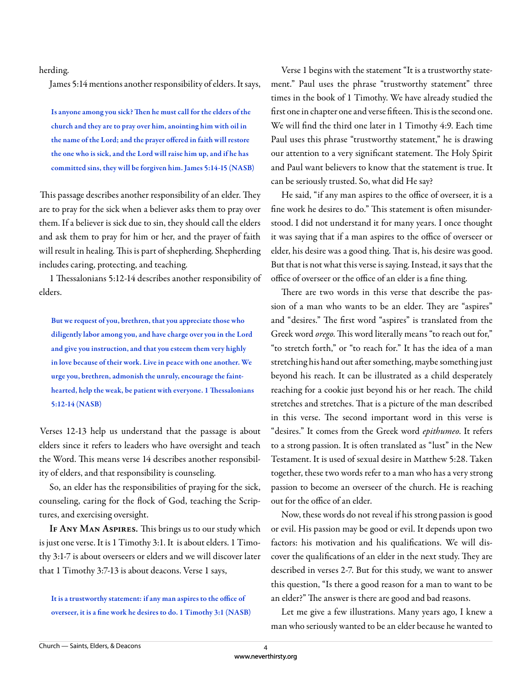## herding.

James 5:14 mentions another responsibility of elders. It says,

Is anyone among you sick? Then he must call for the elders of the church and they are to pray over him, anointing him with oil in the name of the Lord; and the prayer offered in faith will restore the one who is sick, and the Lord will raise him up, and if he has committed sins, they will be forgiven him. James 5:14-15 (NASB)

This passage describes another responsibility of an elder. They are to pray for the sick when a believer asks them to pray over them. If a believer is sick due to sin, they should call the elders and ask them to pray for him or her, and the prayer of faith will result in healing. This is part of shepherding. Shepherding includes caring, protecting, and teaching.

1 Thessalonians 5:12-14 describes another responsibility of elders.

But we request of you, brethren, that you appreciate those who diligently labor among you, and have charge over you in the Lord and give you instruction, and that you esteem them very highly in love because of their work. Live in peace with one another. We urge you, brethren, admonish the unruly, encourage the fainthearted, help the weak, be patient with everyone. 1 Thessalonians 5:12-14 (NASB)

Verses 12-13 help us understand that the passage is about elders since it refers to leaders who have oversight and teach the Word. This means verse 14 describes another responsibility of elders, and that responsibility is counseling.

So, an elder has the responsibilities of praying for the sick, counseling, caring for the flock of God, teaching the Scriptures, and exercising oversight.

IF ANY MAN ASPIRES. This brings us to our study which is just one verse. It is 1 Timothy 3:1. It is about elders. 1 Timothy 3:1-7 is about overseers or elders and we will discover later that 1 Timothy 3:7-13 is about deacons. Verse 1 says,

It is a trustworthy statement: if any man aspires to the office of overseer, it is a fine work he desires to do. 1 Timothy 3:1 (NASB)

Verse 1 begins with the statement "It is a trustworthy statement." Paul uses the phrase "trustworthy statement" three times in the book of 1 Timothy. We have already studied the first one in chapter one and verse fifteen. This is the second one. We will find the third one later in 1 Timothy 4:9. Each time Paul uses this phrase "trustworthy statement," he is drawing our attention to a very significant statement. The Holy Spirit and Paul want believers to know that the statement is true. It can be seriously trusted. So, what did He say?

He said, "if any man aspires to the office of overseer, it is a fine work he desires to do." This statement is often misunderstood. I did not understand it for many years. I once thought it was saying that if a man aspires to the office of overseer or elder, his desire was a good thing. That is, his desire was good. But that is not what this verse is saying. Instead, it says that the office of overseer or the office of an elder is a fine thing.

There are two words in this verse that describe the passion of a man who wants to be an elder. They are "aspires" and "desires." The first word "aspires" is translated from the Greek word *orego*. This word literally means "to reach out for," "to stretch forth," or "to reach for." It has the idea of a man stretching his hand out after something, maybe something just beyond his reach. It can be illustrated as a child desperately reaching for a cookie just beyond his or her reach. The child stretches and stretches. That is a picture of the man described in this verse. The second important word in this verse is "desires." It comes from the Greek word *epithumeo*. It refers to a strong passion. It is often translated as "lust" in the New Testament. It is used of sexual desire in Matthew 5:28. Taken together, these two words refer to a man who has a very strong passion to become an overseer of the church. He is reaching out for the office of an elder.

Now, these words do not reveal if his strong passion is good or evil. His passion may be good or evil. It depends upon two factors: his motivation and his qualifications. We will discover the qualifications of an elder in the next study. They are described in verses 2-7. But for this study, we want to answer this question, "Is there a good reason for a man to want to be an elder?" The answer is there are good and bad reasons.

Let me give a few illustrations. Many years ago, I knew a man who seriously wanted to be an elder because he wanted to